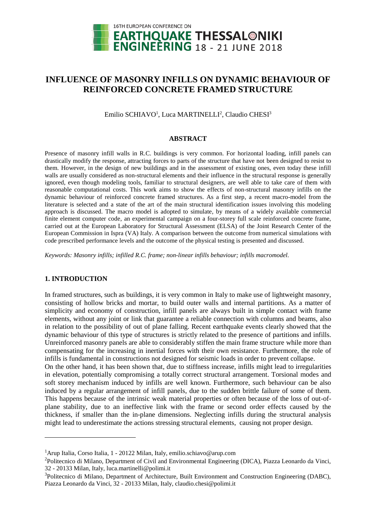

# **INFLUENCE OF MASONRY INFILLS ON DYNAMIC BEHAVIOUR OF REINFORCED CONCRETE FRAMED STRUCTURE**

Emilio SCHIAVO<sup>1</sup>, Luca MARTINELLI<sup>2</sup>, Claudio CHESI<sup>3</sup>

#### **ABSTRACT**

Presence of masonry infill walls in R.C. buildings is very common. For horizontal loading, infill panels can drastically modify the response, attracting forces to parts of the structure that have not been designed to resist to them. However, in the design of new buildings and in the assessment of existing ones, even today these infill walls are usually considered as non-structural elements and their influence in the structural response is generally ignored, even though modeling tools, familiar to structural designers, are well able to take care of them with reasonable computational costs. This work aims to show the effects of non-structural masonry infills on the dynamic behaviour of reinforced concrete framed structures. As a first step, a recent macro-model from the literature is selected and a state of the art of the main structural identification issues involving this modeling approach is discussed. The macro model is adopted to simulate, by means of a widely available commercial finite element computer code, an experimental campaign on a four-storey full scale reinforced concrete frame, carried out at the European Laboratory for Structural Assessment (ELSA) of the Joint Research Center of the European Commission in Ispra (VA) Italy. A comparison between the outcome from numerical simulations with code prescribed performance levels and the outcome of the physical testing is presented and discussed.

*Keywords: Masonry infills; infilled R.C. frame; non-linear infills behaviour; infills macromodel.*

# **1. INTRODUCTION**

 $\overline{a}$ 

In framed structures, such as buildings, it is very common in Italy to make use of lightweight masonry, consisting of hollow bricks and mortar, to build outer walls and internal partitions. As a matter of simplicity and economy of construction, infill panels are always built in simple contact with frame elements, without any joint or link that guarantee a reliable connection with columns and beams, also in relation to the possibility of out of plane falling. Recent earthquake events clearly showed that the dynamic behaviour of this type of structures is strictly related to the presence of partitions and infills. Unreinforced masonry panels are able to considerably stiffen the main frame structure while more than compensating for the increasing in inertial forces with their own resistance. Furthermore, the role of infills is fundamental in constructions not designed for seismic loads in order to prevent collapse. On the other hand, it has been shown that, due to stiffness increase, infills might lead to irregularities in elevation, potentially compromising a totally correct structural arrangement. Torsional modes and

soft storey mechanism induced by infills are well known. Furthermore, such behaviour can be also induced by a regular arrangement of infill panels, due to the sudden brittle failure of some of them. This happens because of the intrinsic weak material properties or often because of the loss of out-ofplane stability, due to an ineffective link with the frame or second order effects caused by the thickness, if smaller than the in-plane dimensions. Neglecting infills during the structural analysis might lead to underestimate the actions stressing structural elements, causing not proper design.

<sup>&</sup>lt;sup>1</sup>Arup Italia, Corso Italia, 1 - 20122 Milan, Italy, emilio.schiavo@arup.com

<sup>2</sup>Politecnico di Milano, Department of Civil and Environmental Engineering (DICA), Piazza Leonardo da Vinci, 32 - 20133 Milan, Italy, luca.martinelli@polimi.it

<sup>&</sup>lt;sup>3</sup>Politecnico di Milano, Department of Architecture, Built Environment and Construction Engineering (DABC), Piazza Leonardo da Vinci, 32 - 20133 Milan, Italy, claudio.chesi@polimi.it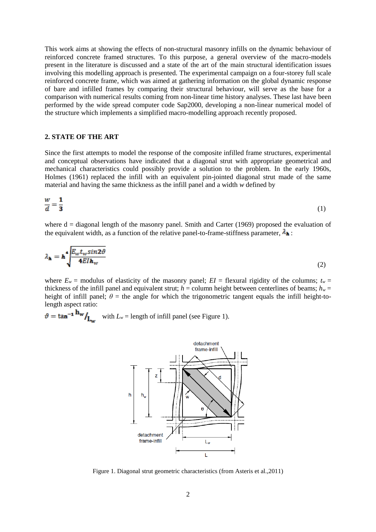This work aims at showing the effects of non-structural masonry infills on the dynamic behaviour of reinforced concrete framed structures. To this purpose, a general overview of the macro-models present in the literature is discussed and a state of the art of the main structural identification issues involving this modelling approach is presented. The experimental campaign on a four-storey full scale reinforced concrete frame, which was aimed at gathering information on the global dynamic response of bare and infilled frames by comparing their structural behaviour, will serve as the base for a comparison with numerical results coming from non-linear time history analyses. These last have been performed by the wide spread computer code Sap2000, developing a non-linear numerical model of the structure which implements a simplified macro-modelling approach recently proposed.

## **2. STATE OF THE ART**

Since the first attempts to model the response of the composite infilled frame structures, experimental and conceptual observations have indicated that a diagonal strut with appropriate geometrical and mechanical characteristics could possibly provide a solution to the problem. In the early 1960s, Holmes (1961) replaced the infill with an equivalent pin-jointed diagonal strut made of the same material and having the same thickness as the infill panel and a width *w* defined by

$$
\frac{w}{d} = \frac{1}{3} \tag{1}
$$

where  $d =$  diagonal length of the masonry panel. Smith and Carter (1969) proposed the evaluation of the equivalent width, as a function of the relative panel-to-frame-stiffness parameter,  $\lambda_{\mathbf{h}}$ :

$$
\lambda_{\mathbf{h}} = \mathbf{h}^{\bullet} \frac{\int E_{\mathbf{w}} t_{\mathbf{w}} \sin 2\vartheta}{4 E I \mathbf{h}_{\mathbf{w}}} \tag{2}
$$

where  $E_w$  = modulus of elasticity of the masonry panel;  $EI$  = flexural rigidity of the columns;  $t_w$  = thickness of the infill panel and equivalent strut;  $h =$  column height between centerlines of beams;  $h_w =$ height of infill panel;  $\theta$  = the angle for which the trigonometric tangent equals the infill height-tolength aspect ratio:

$$
\vartheta = \tan^{-1} \frac{\mathbf{h_w}}{L_w} \quad \text{with } L_w = \text{length of infill panel (see Figure 1).}
$$



Figure 1. Diagonal strut geometric characteristics (from Asteris et al.,2011)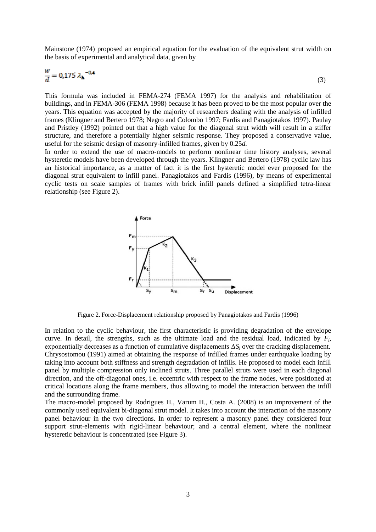Mainstone (1974) proposed an empirical equation for the evaluation of the equivalent strut width on the basis of experimental and analytical data, given by

$$
\frac{w}{d} = 0.175 \lambda_{\mathbf{h}}^{-0.4}
$$
 (3)

This formula was included in FEMA-274 (FEMA 1997) for the analysis and rehabilitation of buildings, and in FEMA-306 (FEMA 1998) because it has been proved to be the most popular over the years. This equation was accepted by the majority of researchers dealing with the analysis of infilled frames (Klingner and Bertero 1978; Negro and Colombo 1997; Fardis and Panagiotakos 1997). Paulay and Pristley (1992) pointed out that a high value for the diagonal strut width will result in a stiffer structure, and therefore a potentially higher seismic response. They proposed a conservative value, useful for the seismic design of masonry-infilled frames, given by 0.25*d.*

In order to extend the use of macro-models to perform nonlinear time history analyses, several hysteretic models have been developed through the years. Klingner and Bertero (1978) cyclic law has an historical importance, as a matter of fact it is the first hysteretic model ever proposed for the diagonal strut equivalent to infill panel. Panagiotakos and Fardis (1996), by means of experimental cyclic tests on scale samples of frames with brick infill panels defined a simplified tetra-linear relationship (see Figure 2).



Figure 2. Force-Displacement relationship proposed by Panagiotakos and Fardis (1996)

In relation to the cyclic behaviour, the first characteristic is providing degradation of the envelope curve. In detail, the strengths, such as the ultimate load and the residual load, indicated by  $F_j$ , exponentially decreases as a function of cumulative displacements Δ*S<sup>j</sup>* over the cracking displacement. Chrysostomou (1991) aimed at obtaining the response of infilled frames under earthquake loading by taking into account both stiffness and strength degradation of infills. He proposed to model each infill panel by multiple compression only inclined struts. Three parallel struts were used in each diagonal direction, and the off-diagonal ones, i.e. eccentric with respect to the frame nodes, were positioned at critical locations along the frame members, thus allowing to model the interaction between the infill and the surrounding frame.

The macro-model proposed by Rodrigues H., Varum H., Costa A. (2008) is an improvement of the commonly used equivalent bi-diagonal strut model. It takes into account the interaction of the masonry panel behaviour in the two directions. In order to represent a masonry panel they considered four support strut-elements with rigid-linear behaviour; and a central element, where the nonlinear hysteretic behaviour is concentrated (see Figure 3).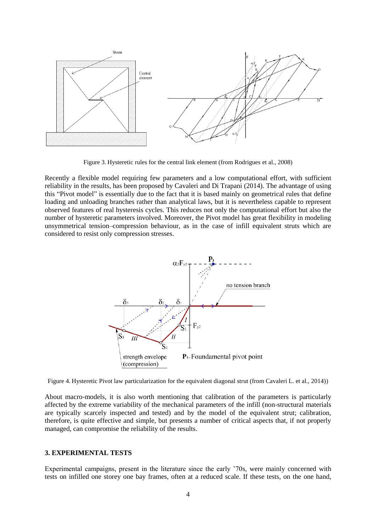

Figure 3. Hysteretic rules for the central link element (from Rodrigues et al., 2008)

Recently a flexible model requiring few parameters and a low computational effort, with sufficient reliability in the results, has been proposed by Cavaleri and Di Trapani (2014). The advantage of using this "Pivot model" is essentially due to the fact that it is based mainly on geometrical rules that define loading and unloading branches rather than analytical laws, but it is nevertheless capable to represent observed features of real hysteresis cycles. This reduces not only the computational effort but also the number of hysteretic parameters involved. Moreover, the Pivot model has great flexibility in modeling unsymmetrical tension–compression behaviour, as in the case of infill equivalent struts which are considered to resist only compression stresses.



Figure 4. Hysteretic Pivot law particularization for the equivalent diagonal strut (from Cavaleri L. et al., 2014))

About macro-models, it is also worth mentioning that calibration of the parameters is particularly affected by the extreme variability of the mechanical parameters of the infill (non-structural materials are typically scarcely inspected and tested) and by the model of the equivalent strut; calibration, therefore, is quite effective and simple, but presents a number of critical aspects that, if not properly managed, can compromise the reliability of the results.

## **3. EXPERIMENTAL TESTS**

Experimental campaigns, present in the literature since the early '70s, were mainly concerned with tests on infilled one storey one bay frames, often at a reduced scale. If these tests, on the one hand,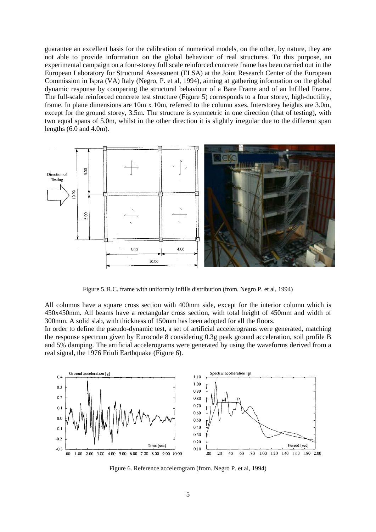guarantee an excellent basis for the calibration of numerical models, on the other, by nature, they are not able to provide information on the global behaviour of real structures. To this purpose, an experimental campaign on a four-storey full scale reinforced concrete frame has been carried out in the European Laboratory for Structural Assessment (ELSA) at the Joint Research Center of the European Commission in Ispra (VA) Italy (Negro, P. et al, 1994), aiming at gathering information on the global dynamic response by comparing the structural behaviour of a Bare Frame and of an Infilled Frame. The full-scale reinforced concrete test structure (Figure 5) corresponds to a four storey, high-ductility, frame. In plane dimensions are 10m x 10m, referred to the column axes. Interstorey heights are 3.0m, except for the ground storey, 3.5m. The structure is symmetric in one direction (that of testing), with two equal spans of 5.0m, whilst in the other direction it is slightly irregular due to the different span lengths  $(6.0 \text{ and } 4.0 \text{m})$ .



Figure 5. R.C. frame with uniformly infills distribution (from. Negro P. et al, 1994)

All columns have a square cross section with 400mm side, except for the interior column which is 450x450mm. All beams have a rectangular cross section, with total height of 450mm and width of 300mm. A solid slab, with thickness of 150mm has been adopted for all the floors.

In order to define the pseudo-dynamic test, a set of artificial accelerograms were generated, matching the response spectrum given by Eurocode 8 considering 0.3g peak ground acceleration, soil profile B and 5% damping. The artificial accelerograms were generated by using the waveforms derived from a real signal, the 1976 Friuli Earthquake (Figure 6).



Figure 6. Reference accelerogram (from. Negro P. et al, 1994)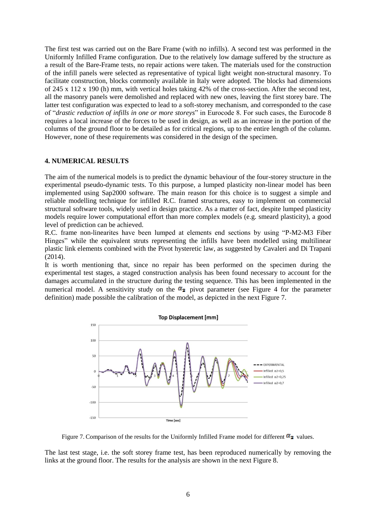The first test was carried out on the Bare Frame (with no infills). A second test was performed in the Uniformly Infilled Frame configuration. Due to the relatively low damage suffered by the structure as a result of the Bare-Frame tests, no repair actions were taken. The materials used for the construction of the infill panels were selected as representative of typical light weight non-structural masonry. To facilitate construction, blocks commonly available in Italy were adopted. The blocks had dimensions of 245 x 112 x 190 (h) mm, with vertical holes taking 42% of the cross-section. After the second test, all the masonry panels were demolished and replaced with new ones, leaving the first storey bare. The latter test configuration was expected to lead to a soft-storey mechanism, and corresponded to the case of "*drastic reduction of infills in one or more storeys*" in Eurocode 8. For such cases, the Eurocode 8 requires a local increase of the forces to be used in design, as well as an increase in the portion of the columns of the ground floor to be detailed as for critical regions, up to the entire length of the column. However, none of these requirements was considered in the design of the specimen.

#### **4. NUMERICAL RESULTS**

The aim of the numerical models is to predict the dynamic behaviour of the four-storey structure in the experimental pseudo-dynamic tests. To this purpose, a lumped plasticity non-linear model has been implemented using Sap2000 software. The main reason for this choice is to suggest a simple and reliable modelling technique for infilled R.C. framed structures, easy to implement on commercial structural software tools, widely used in design practice. As a matter of fact, despite lumped plasticity models require lower computational effort than more complex models (e.g. smeard plasticity), a good level of prediction can be achieved.

R.C. frame non-linearites have been lumped at elements end sections by using "P-M2-M3 Fiber Hinges" while the equivalent struts representing the infills have been modelled using multilinear plastic link elements combined with the Pivot hysteretic law, as suggested by Cavaleri and Di Trapani (2014).

It is worth mentioning that, since no repair has been performed on the specimen during the experimental test stages, a staged construction analysis has been found necessary to account for the damages accumulated in the structure during the testing sequence. This has been implemented in the numerical model. A sensitivity study on the  $\alpha_2$  pivot parameter (see Figure 4 for the parameter definition) made possible the calibration of the model, as depicted in the next Figure 7.



Figure 7. Comparison of the results for the Uniformly Infilled Frame model for different  $\alpha_2$  values.

The last test stage, i.e. the soft storey frame test, has been reproduced numerically by removing the links at the ground floor. The results for the analysis are shown in the next Figure 8.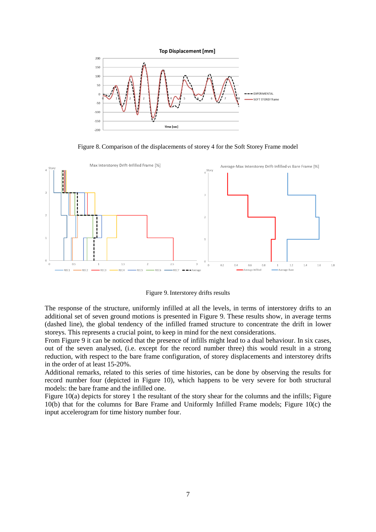

Figure 8. Comparison of the displacements of storey 4 for the Soft Storey Frame model



Figure 9. Interstorey drifts results

The response of the structure, uniformly infilled at all the levels, in terms of interstorey drifts to an additional set of seven ground motions is presented in Figure 9. These results show, in average terms (dashed line), the global tendency of the infilled framed structure to concentrate the drift in lower storeys. This represents a crucial point, to keep in mind for the next considerations.

From Figure 9 it can be noticed that the presence of infills might lead to a dual behaviour. In six cases, out of the seven analysed, (i.e. except for the record number three) this would result in a strong reduction, with respect to the bare frame configuration, of storey displacements and interstorey drifts in the order of at least 15-20%.

Additional remarks, related to this series of time histories, can be done by observing the results for record number four (depicted in Figure 10), which happens to be very severe for both structural models: the bare frame and the infilled one.

Figure 10(a) depicts for storey 1 the resultant of the story shear for the columns and the infills; Figure 10(b) that for the columns for Bare Frame and Uniformly Infilled Frame models; Figure 10(c) the input accelerogram for time history number four.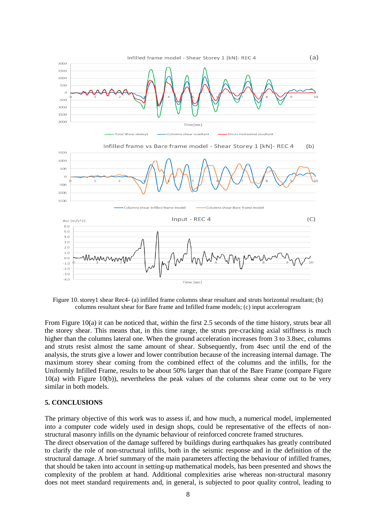

Figure 10. storey1 shear Rec4- (a) infilled frame columns shear resultant and struts horizontal resultant; (b) columns resultant shear for Bare frame and Infilled frame models; (c) input accelerogram

From Figure 10(a) it can be noticed that, within the first 2.5 seconds of the time history, struts bear all the storey shear. This means that, in this time range, the struts pre-cracking axial stiffness is much higher than the columns lateral one. When the ground acceleration increases from 3 to 3.8sec, columns and struts resist almost the same amount of shear. Subsequently, from 4sec until the end of the analysis, the struts give a lower and lower contribution because of the increasing internal damage. The maximum storey shear coming from the combined effect of the columns and the infills, for the Uniformly Infilled Frame, results to be about 50% larger than that of the Bare Frame (compare Figure 10(a) with Figure 10(b)), nevertheless the peak values of the columns shear come out to be very similar in both models.

#### **5. CONCLUSIONS**

The primary objective of this work was to assess if, and how much, a numerical model, implemented into a computer code widely used in design shops, could be representative of the effects of nonstructural masonry infills on the dynamic behaviour of reinforced concrete framed structures.

The direct observation of the damage suffered by buildings during earthquakes has greatly contributed to clarify the role of non-structural infills, both in the seismic response and in the definition of the structural damage. A brief summary of the main parameters affecting the behaviour of infilled frames, that should be taken into account in setting-up mathematical models, has been presented and shows the complexity of the problem at hand. Additional complexities arise whereas non-structural masonry does not meet standard requirements and, in general, is subjected to poor quality control, leading to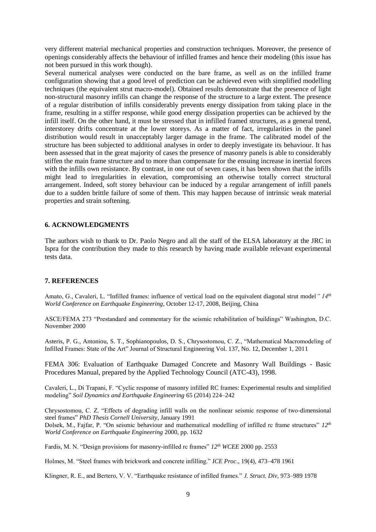very different material mechanical properties and construction techniques. Moreover, the presence of openings considerably affects the behaviour of infilled frames and hence their modeling (this issue has not been pursued in this work though).

Several numerical analyses were conducted on the bare frame, as well as on the infilled frame configuration showing that a good level of prediction can be achieved even with simplified modelling techniques (the equivalent strut macro-model). Obtained results demonstrate that the presence of light non-structural masonry infills can change the response of the structure to a large extent. The presence of a regular distribution of infills considerably prevents energy dissipation from taking place in the frame, resulting in a stiffer response, while good energy dissipation properties can be achieved by the infill itself. On the other hand, it must be stressed that in infilled framed structures, as a general trend, interstorey drifts concentrate at the lower storeys. As a matter of fact, irregularities in the panel distribution would result in unacceptably larger damage in the frame. The calibrated model of the structure has been subjected to additional analyses in order to deeply investigate its behaviour. It has been assessed that in the great majority of cases the presence of masonry panels is able to considerably stiffen the main frame structure and to more than compensate for the ensuing increase in inertial forces with the infills own resistance. By contrast, in one out of seven cases, it has been shown that the infills might lead to irregularities in elevation, compromising an otherwise totally correct structural arrangement. Indeed, soft storey behaviour can be induced by a regular arrangement of infill panels due to a sudden brittle failure of some of them. This may happen because of intrinsic weak material properties and strain softening.

# **6. ACKNOWLEDGMENTS**

The authors wish to thank to Dr. Paolo Negro and all the staff of the ELSA laboratory at the JRC in Ispra for the contribution they made to this research by having made available relevant experimental tests data.

#### **7. REFERENCES**

Amato, G., Cavaleri, L. "Infilled frames: influence of vertical load on the equivalent diagonal strut model*" 14th World Conference on Earthquake Engineering*, October 12-17, 2008, Beijing, China

ASCE/FEMA 273 "Prestandard and commentary for the seismic rehabilitation of buildings" Washington, D.C. November 2000

Asteris, P. G., Antoniou, S. T., Sophianopoulos, D. S., Chrysostomou, C. Z., "Mathematical Macromodeling of Infilled Frames: State of the Art" Journal of Structural Engineering Vol. 137, No. 12, December 1, 2011

FEMA 306: Evaluation of Earthquake Damaged Concrete and Masonry Wall Buildings - Basic Procedures Manual, prepared by the Applied Technology Council (ATC-43), 1998.

Cavaleri, L., Di Trapani, F. "Cyclic response of masonry infilled RC frames: Experimental results and simplified modeling" *Soil Dynamics and Earthquake Engineering* 65 (2014) 224–242

Chrysostomou, C. Z. "Effects of degrading infill walls on the nonlinear seismic response of two-dimensional steel frames" *PhD Thesis Cornell University*, January 1991 Dolsek, M., Fajfar, P. "On seismic behaviour and mathematical modelling of infilled rc frame structures" *12th World Conference on Earthquake Engineering* 2000, pp. 1632

Fardis, M. N. "Design provisions for masonry-infilled rc frames" *12th WCEE* 2000 pp. 2553

Holmes, M. "Steel frames with brickwork and concrete infilling." *ICE Proc*., 19(4), 473–478 1961

Klingner, R. E., and Bertero, V. V. "Earthquake resistance of infilled frames." *J. Struct. Div*, 973–989 1978